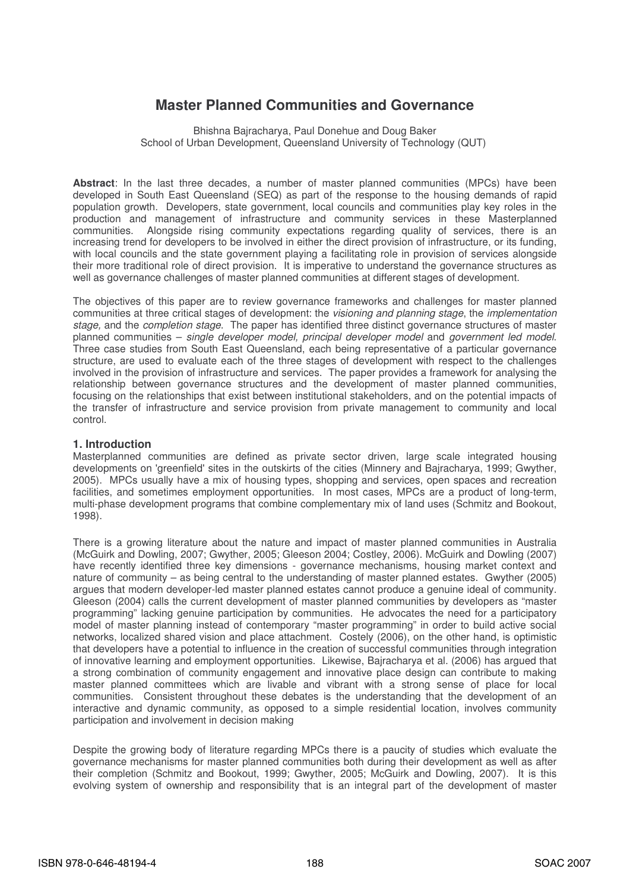# **Master Planned Communities and Governance**

Bhishna Bajracharya, Paul Donehue and Doug Baker School of Urban Development, Queensland University of Technology (QUT)

**Abstract**: In the last three decades, a number of master planned communities (MPCs) have been developed in South East Queensland (SEQ) as part of the response to the housing demands of rapid population growth. Developers, state government, local councils and communities play key roles in the production and management of infrastructure and community services in these Masterplanned communities. Alongside rising community expectations regarding quality of services, there is an increasing trend for developers to be involved in either the direct provision of infrastructure, or its funding, with local councils and the state government playing a facilitating role in provision of services alongside their more traditional role of direct provision. It is imperative to understand the governance structures as well as governance challenges of master planned communities at different stages of development.

The objectives of this paper are to review governance frameworks and challenges for master planned communities at three critical stages of development: the *visioning and planning stage*, the *implementation* stage, and the *completion stage*. The paper has identified three distinct governance structures of master planned communities – single developer model, principal developer model and government led model. Three case studies from South East Queensland, each being representative of a particular governance structure, are used to evaluate each of the three stages of development with respect to the challenges involved in the provision of infrastructure and services. The paper provides a framework for analysing the relationship between governance structures and the development of master planned communities, focusing on the relationships that exist between institutional stakeholders, and on the potential impacts of the transfer of infrastructure and service provision from private management to community and local control.

### **1. Introduction**

Masterplanned communities are defined as private sector driven, large scale integrated housing developments on 'greenfield' sites in the outskirts of the cities (Minnery and Bajracharya, 1999; Gwyther, 2005). MPCs usually have a mix of housing types, shopping and services, open spaces and recreation facilities, and sometimes employment opportunities. In most cases, MPCs are a product of long-term, multi-phase development programs that combine complementary mix of land uses (Schmitz and Bookout, 1998).

There is a growing literature about the nature and impact of master planned communities in Australia (McGuirk and Dowling, 2007; Gwyther, 2005; Gleeson 2004; Costley, 2006). McGuirk and Dowling (2007) have recently identified three key dimensions - governance mechanisms, housing market context and nature of community – as being central to the understanding of master planned estates. Gwyther (2005) argues that modern developer-led master planned estates cannot produce a genuine ideal of community. Gleeson (2004) calls the current development of master planned communities by developers as "master programming" lacking genuine participation by communities. He advocates the need for a participatory model of master planning instead of contemporary "master programming" in order to build active social networks, localized shared vision and place attachment. Costely (2006), on the other hand, is optimistic that developers have a potential to influence in the creation of successful communities through integration of innovative learning and employment opportunities. Likewise, Bajracharya et al. (2006) has argued that a strong combination of community engagement and innovative place design can contribute to making master planned committees which are livable and vibrant with a strong sense of place for local communities. Consistent throughout these debates is the understanding that the development of an interactive and dynamic community, as opposed to a simple residential location, involves community participation and involvement in decision making

Despite the growing body of literature regarding MPCs there is a paucity of studies which evaluate the governance mechanisms for master planned communities both during their development as well as after their completion (Schmitz and Bookout, 1999; Gwyther, 2005; McGuirk and Dowling, 2007). It is this evolving system of ownership and responsibility that is an integral part of the development of master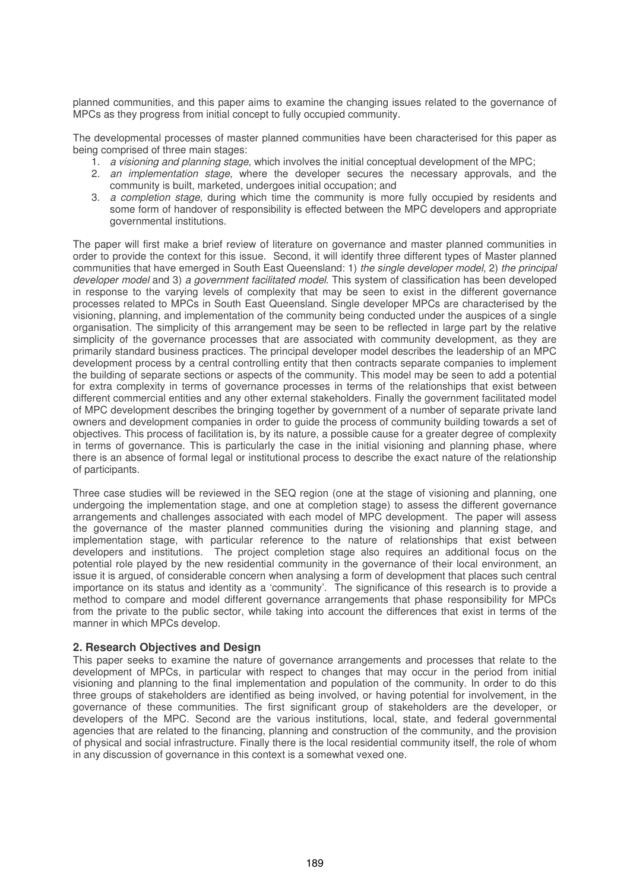planned communities, and this paper aims to examine the changing issues related to the governance of MPCs as they progress from initial concept to fully occupied community.

The developmental processes of master planned communities have been characterised for this paper as being comprised of three main stages:

- 1. a visioning and planning stage, which involves the initial conceptual development of the MPC;
- 2. an implementation stage, where the developer secures the necessary approvals, and the community is built, marketed, undergoes initial occupation; and
- 3. a completion stage, during which time the community is more fully occupied by residents and some form of handover of responsibility is effected between the MPC developers and appropriate governmental institutions.

The paper will first make a brief review of literature on governance and master planned communities in order to provide the context for this issue. Second, it will identify three different types of Master planned communities that have emerged in South East Queensland: 1) the single developer model, 2) the principal developer model and 3) a government facilitated model. This system of classification has been developed in response to the varying levels of complexity that may be seen to exist in the different governance processes related to MPCs in South East Queensland. Single developer MPCs are characterised by the visioning, planning, and implementation of the community being conducted under the auspices of a single organisation. The simplicity of this arrangement may be seen to be reflected in large part by the relative simplicity of the governance processes that are associated with community development, as they are primarily standard business practices. The principal developer model describes the leadership of an MPC development process by a central controlling entity that then contracts separate companies to implement the building of separate sections or aspects of the community. This model may be seen to add a potential for extra complexity in terms of governance processes in terms of the relationships that exist between different commercial entities and any other external stakeholders. Finally the government facilitated model of MPC development describes the bringing together by government of a number of separate private land owners and development companies in order to guide the process of community building towards a set of objectives. This process of facilitation is, by its nature, a possible cause for a greater degree of complexity in terms of governance. This is particularly the case in the initial visioning and planning phase, where there is an absence of formal legal or institutional process to describe the exact nature of the relationship of participants.

Three case studies will be reviewed in the SEQ region (one at the stage of visioning and planning, one undergoing the implementation stage, and one at completion stage) to assess the different governance arrangements and challenges associated with each model of MPC development. The paper will assess the governance of the master planned communities during the visioning and planning stage, and implementation stage, with particular reference to the nature of relationships that exist between developers and institutions. The project completion stage also requires an additional focus on the potential role played by the new residential community in the governance of their local environment, an issue it is argued, of considerable concern when analysing a form of development that places such central importance on its status and identity as a 'community'. The significance of this research is to provide a method to compare and model different governance arrangements that phase responsibility for MPCs from the private to the public sector, while taking into account the differences that exist in terms of the manner in which MPCs develop.

# **2. Research Objectives and Design**

This paper seeks to examine the nature of governance arrangements and processes that relate to the development of MPCs, in particular with respect to changes that may occur in the period from initial visioning and planning to the final implementation and population of the community. In order to do this three groups of stakeholders are identified as being involved, or having potential for involvement, in the governance of these communities. The first significant group of stakeholders are the developer, or developers of the MPC. Second are the various institutions, local, state, and federal governmental agencies that are related to the financing, planning and construction of the community, and the provision of physical and social infrastructure. Finally there is the local residential community itself, the role of whom in any discussion of governance in this context is a somewhat vexed one.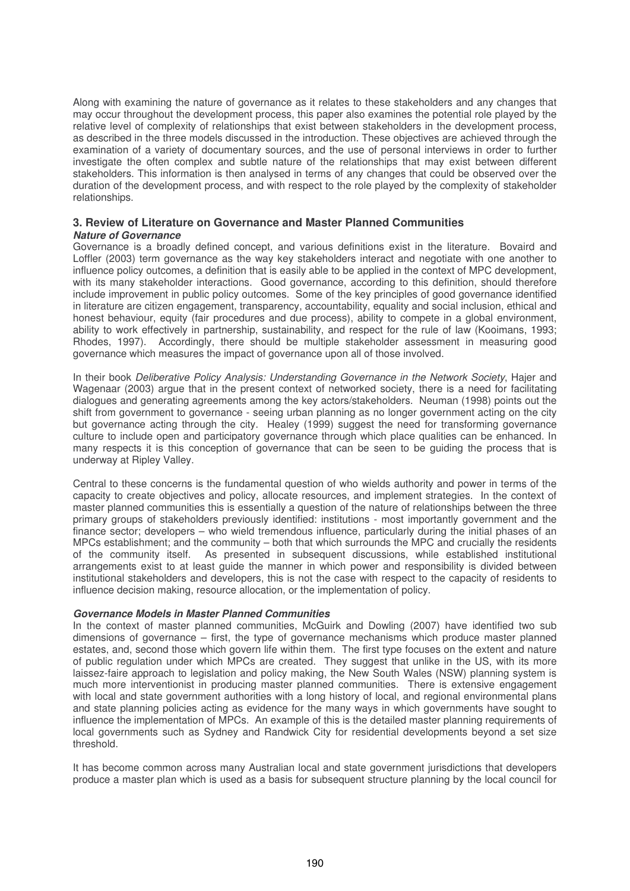Along with examining the nature of governance as it relates to these stakeholders and any changes that may occur throughout the development process, this paper also examines the potential role played by the relative level of complexity of relationships that exist between stakeholders in the development process, as described in the three models discussed in the introduction. These objectives are achieved through the examination of a variety of documentary sources, and the use of personal interviews in order to further investigate the often complex and subtle nature of the relationships that may exist between different stakeholders. This information is then analysed in terms of any changes that could be observed over the duration of the development process, and with respect to the role played by the complexity of stakeholder relationships.

### **3. Review of Literature on Governance and Master Planned Communities** *Nature of Governance*

Governance is a broadly defined concept, and various definitions exist in the literature. Bovaird and Loffler (2003) term governance as the way key stakeholders interact and negotiate with one another to influence policy outcomes, a definition that is easily able to be applied in the context of MPC development, with its many stakeholder interactions. Good governance, according to this definition, should therefore include improvement in public policy outcomes. Some of the key principles of good governance identified in literature are citizen engagement, transparency, accountability, equality and social inclusion, ethical and honest behaviour, equity (fair procedures and due process), ability to compete in a global environment, ability to work effectively in partnership, sustainability, and respect for the rule of law (Kooimans, 1993; Rhodes, 1997). Accordingly, there should be multiple stakeholder assessment in measuring good governance which measures the impact of governance upon all of those involved.

In their book Deliberative Policy Analysis: Understanding Governance in the Network Society, Hajer and Wagenaar (2003) argue that in the present context of networked society, there is a need for facilitating dialogues and generating agreements among the key actors/stakeholders. Neuman (1998) points out the shift from government to governance - seeing urban planning as no longer government acting on the city but governance acting through the city. Healey (1999) suggest the need for transforming governance culture to include open and participatory governance through which place qualities can be enhanced. In many respects it is this conception of governance that can be seen to be guiding the process that is underway at Ripley Valley.

Central to these concerns is the fundamental question of who wields authority and power in terms of the capacity to create objectives and policy, allocate resources, and implement strategies. In the context of master planned communities this is essentially a question of the nature of relationships between the three primary groups of stakeholders previously identified: institutions - most importantly government and the finance sector; developers – who wield tremendous influence, particularly during the initial phases of an MPCs establishment; and the community – both that which surrounds the MPC and crucially the residents of the community itself. As presented in subsequent discussions, while established institutional arrangements exist to at least guide the manner in which power and responsibility is divided between institutional stakeholders and developers, this is not the case with respect to the capacity of residents to influence decision making, resource allocation, or the implementation of policy.

### *Governance Models in Master Planned Communities*

In the context of master planned communities, McGuirk and Dowling (2007) have identified two sub dimensions of governance – first, the type of governance mechanisms which produce master planned estates, and, second those which govern life within them. The first type focuses on the extent and nature of public regulation under which MPCs are created. They suggest that unlike in the US, with its more laissez-faire approach to legislation and policy making, the New South Wales (NSW) planning system is much more interventionist in producing master planned communities. There is extensive engagement with local and state government authorities with a long history of local, and regional environmental plans and state planning policies acting as evidence for the many ways in which governments have sought to influence the implementation of MPCs. An example of this is the detailed master planning requirements of local governments such as Sydney and Randwick City for residential developments beyond a set size threshold.

It has become common across many Australian local and state government jurisdictions that developers produce a master plan which is used as a basis for subsequent structure planning by the local council for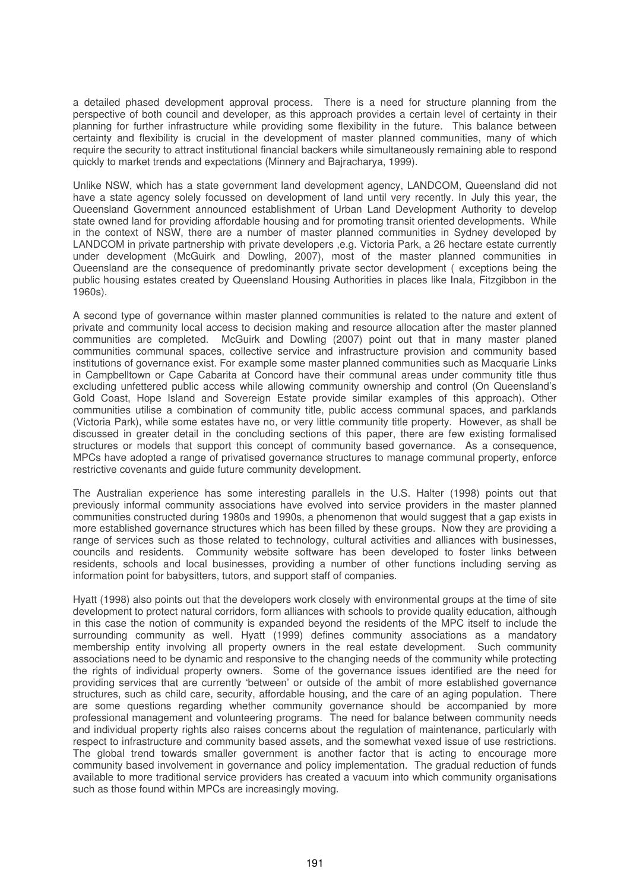a detailed phased development approval process. There is a need for structure planning from the perspective of both council and developer, as this approach provides a certain level of certainty in their planning for further infrastructure while providing some flexibility in the future. This balance between certainty and flexibility is crucial in the development of master planned communities, many of which require the security to attract institutional financial backers while simultaneously remaining able to respond quickly to market trends and expectations (Minnery and Bajracharya, 1999).

Unlike NSW, which has a state government land development agency, LANDCOM, Queensland did not have a state agency solely focussed on development of land until very recently. In July this year, the Queensland Government announced establishment of Urban Land Development Authority to develop state owned land for providing affordable housing and for promoting transit oriented developments. While in the context of NSW, there are a number of master planned communities in Sydney developed by LANDCOM in private partnership with private developers ,e.g. Victoria Park, a 26 hectare estate currently under development (McGuirk and Dowling, 2007), most of the master planned communities in Queensland are the consequence of predominantly private sector development ( exceptions being the public housing estates created by Queensland Housing Authorities in places like Inala, Fitzgibbon in the 1960s).

A second type of governance within master planned communities is related to the nature and extent of private and community local access to decision making and resource allocation after the master planned communities are completed. McGuirk and Dowling (2007) point out that in many master planed communities communal spaces, collective service and infrastructure provision and community based institutions of governance exist. For example some master planned communities such as Macquarie Links in Campbelltown or Cape Cabarita at Concord have their communal areas under community title thus excluding unfettered public access while allowing community ownership and control (On Queensland's Gold Coast, Hope Island and Sovereign Estate provide similar examples of this approach). Other communities utilise a combination of community title, public access communal spaces, and parklands (Victoria Park), while some estates have no, or very little community title property. However, as shall be discussed in greater detail in the concluding sections of this paper, there are few existing formalised structures or models that support this concept of community based governance. As a consequence, MPCs have adopted a range of privatised governance structures to manage communal property, enforce restrictive covenants and guide future community development.

The Australian experience has some interesting parallels in the U.S. Halter (1998) points out that previously informal community associations have evolved into service providers in the master planned communities constructed during 1980s and 1990s, a phenomenon that would suggest that a gap exists in more established governance structures which has been filled by these groups. Now they are providing a range of services such as those related to technology, cultural activities and alliances with businesses, councils and residents. Community website software has been developed to foster links between residents, schools and local businesses, providing a number of other functions including serving as information point for babysitters, tutors, and support staff of companies.

Hyatt (1998) also points out that the developers work closely with environmental groups at the time of site development to protect natural corridors, form alliances with schools to provide quality education, although in this case the notion of community is expanded beyond the residents of the MPC itself to include the surrounding community as well. Hyatt (1999) defines community associations as a mandatory membership entity involving all property owners in the real estate development. Such community associations need to be dynamic and responsive to the changing needs of the community while protecting the rights of individual property owners. Some of the governance issues identified are the need for providing services that are currently 'between' or outside of the ambit of more established governance structures, such as child care, security, affordable housing, and the care of an aging population. There are some questions regarding whether community governance should be accompanied by more professional management and volunteering programs. The need for balance between community needs and individual property rights also raises concerns about the regulation of maintenance, particularly with respect to infrastructure and community based assets, and the somewhat vexed issue of use restrictions. The global trend towards smaller government is another factor that is acting to encourage more community based involvement in governance and policy implementation. The gradual reduction of funds available to more traditional service providers has created a vacuum into which community organisations such as those found within MPCs are increasingly moving.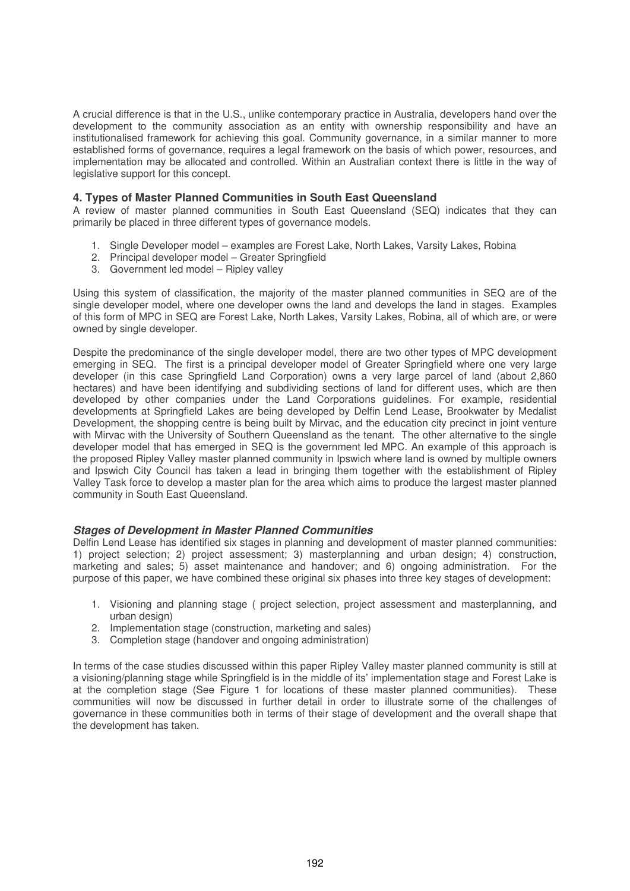A crucial difference is that in the U.S., unlike contemporary practice in Australia, developers hand over the development to the community association as an entity with ownership responsibility and have an institutionalised framework for achieving this goal. Community governance, in a similar manner to more established forms of governance, requires a legal framework on the basis of which power, resources, and implementation may be allocated and controlled. Within an Australian context there is little in the way of legislative support for this concept.

# **4. Types of Master Planned Communities in South East Queensland**

A review of master planned communities in South East Queensland (SEQ) indicates that they can primarily be placed in three different types of governance models.

- 1. Single Developer model examples are Forest Lake, North Lakes, Varsity Lakes, Robina
- 2. Principal developer model Greater Springfield
- 3. Government led model Ripley valley

Using this system of classification, the majority of the master planned communities in SEQ are of the single developer model, where one developer owns the land and develops the land in stages. Examples of this form of MPC in SEQ are Forest Lake, North Lakes, Varsity Lakes, Robina, all of which are, or were owned by single developer.

Despite the predominance of the single developer model, there are two other types of MPC development emerging in SEQ. The first is a principal developer model of Greater Springfield where one very large developer (in this case Springfield Land Corporation) owns a very large parcel of land (about 2,860 hectares) and have been identifying and subdividing sections of land for different uses, which are then developed by other companies under the Land Corporations guidelines. For example, residential developments at Springfield Lakes are being developed by Delfin Lend Lease, Brookwater by Medalist Development, the shopping centre is being built by Mirvac, and the education city precinct in joint venture with Mirvac with the University of Southern Queensland as the tenant. The other alternative to the single developer model that has emerged in SEQ is the government led MPC. An example of this approach is the proposed Ripley Valley master planned community in Ipswich where land is owned by multiple owners and Ipswich City Council has taken a lead in bringing them together with the establishment of Ripley Valley Task force to develop a master plan for the area which aims to produce the largest master planned community in South East Queensland.

### *Stages of Development in Master Planned Communities*

Delfin Lend Lease has identified six stages in planning and development of master planned communities: 1) project selection; 2) project assessment; 3) masterplanning and urban design; 4) construction, marketing and sales; 5) asset maintenance and handover; and 6) ongoing administration. For the purpose of this paper, we have combined these original six phases into three key stages of development:

- 1. Visioning and planning stage ( project selection, project assessment and masterplanning, and urban design)
- 2. Implementation stage (construction, marketing and sales)
- 3. Completion stage (handover and ongoing administration)

In terms of the case studies discussed within this paper Ripley Valley master planned community is still at a visioning/planning stage while Springfield is in the middle of its' implementation stage and Forest Lake is at the completion stage (See Figure 1 for locations of these master planned communities). These communities will now be discussed in further detail in order to illustrate some of the challenges of governance in these communities both in terms of their stage of development and the overall shape that the development has taken.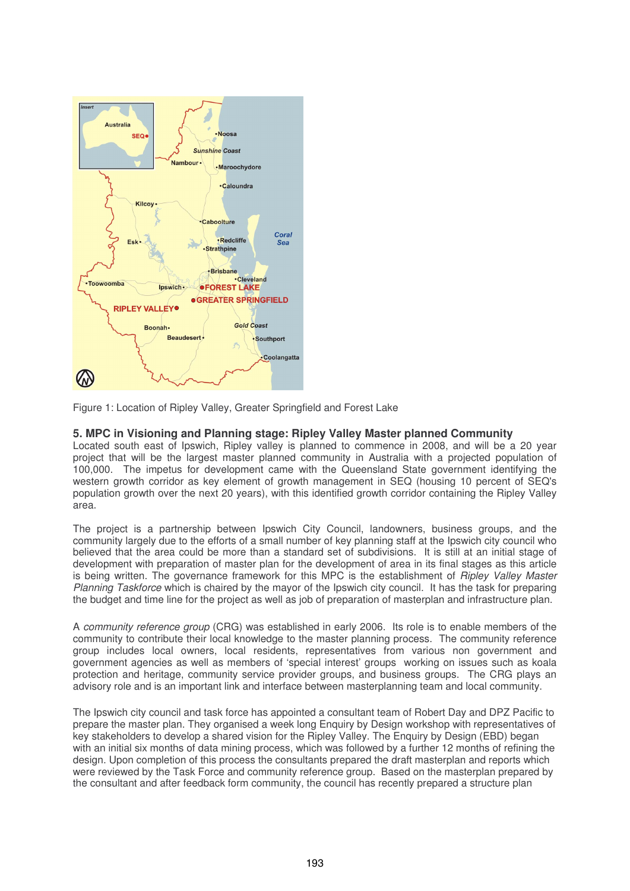

Figure 1: Location of Ripley Valley, Greater Springfield and Forest Lake

# **5. MPC in Visioning and Planning stage: Ripley Valley Master planned Community**

Located south east of Ipswich, Ripley valley is planned to commence in 2008, and will be a 20 year project that will be the largest master planned community in Australia with a projected population of 100,000. The impetus for development came with the Queensland State government identifying the western growth corridor as key element of growth management in SEQ (housing 10 percent of SEQ's population growth over the next 20 years), with this identified growth corridor containing the Ripley Valley area.

The project is a partnership between Ipswich City Council, landowners, business groups, and the community largely due to the efforts of a small number of key planning staff at the Ipswich city council who believed that the area could be more than a standard set of subdivisions. It is still at an initial stage of development with preparation of master plan for the development of area in its final stages as this article is being written. The governance framework for this MPC is the establishment of *Ripley Valley Master* Planning Taskforce which is chaired by the mayor of the Ipswich city council. It has the task for preparing the budget and time line for the project as well as job of preparation of masterplan and infrastructure plan.

A community reference group (CRG) was established in early 2006. Its role is to enable members of the community to contribute their local knowledge to the master planning process. The community reference group includes local owners, local residents, representatives from various non government and government agencies as well as members of 'special interest' groups working on issues such as koala protection and heritage, community service provider groups, and business groups. The CRG plays an advisory role and is an important link and interface between masterplanning team and local community.

The Ipswich city council and task force has appointed a consultant team of Robert Day and DPZ Pacific to prepare the master plan. They organised a week long Enquiry by Design workshop with representatives of key stakeholders to develop a shared vision for the Ripley Valley. The Enquiry by Design (EBD) began with an initial six months of data mining process, which was followed by a further 12 months of refining the design. Upon completion of this process the consultants prepared the draft masterplan and reports which were reviewed by the Task Force and community reference group. Based on the masterplan prepared by the consultant and after feedback form community, the council has recently prepared a structure plan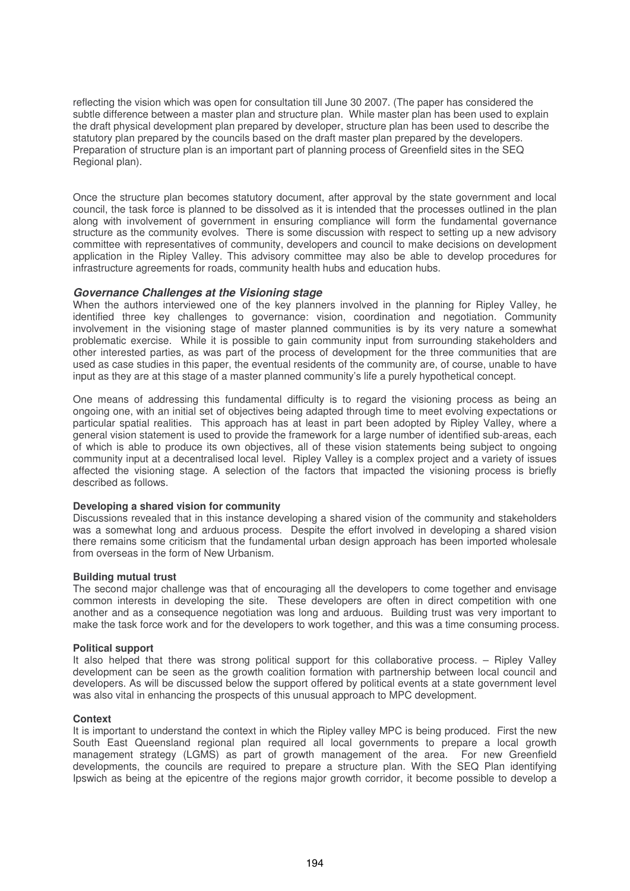reflecting the vision which was open for consultation till June 30 2007. (The paper has considered the subtle difference between a master plan and structure plan. While master plan has been used to explain the draft physical development plan prepared by developer, structure plan has been used to describe the statutory plan prepared by the councils based on the draft master plan prepared by the developers. Preparation of structure plan is an important part of planning process of Greenfield sites in the SEQ Regional plan).

Once the structure plan becomes statutory document, after approval by the state government and local council, the task force is planned to be dissolved as it is intended that the processes outlined in the plan along with involvement of government in ensuring compliance will form the fundamental governance structure as the community evolves. There is some discussion with respect to setting up a new advisory committee with representatives of community, developers and council to make decisions on development application in the Ripley Valley. This advisory committee may also be able to develop procedures for infrastructure agreements for roads, community health hubs and education hubs.

### *Governance Challenges at the Visioning stage*

When the authors interviewed one of the key planners involved in the planning for Ripley Valley, he identified three key challenges to governance: vision, coordination and negotiation. Community involvement in the visioning stage of master planned communities is by its very nature a somewhat problematic exercise. While it is possible to gain community input from surrounding stakeholders and other interested parties, as was part of the process of development for the three communities that are used as case studies in this paper, the eventual residents of the community are, of course, unable to have input as they are at this stage of a master planned community's life a purely hypothetical concept.

One means of addressing this fundamental difficulty is to regard the visioning process as being an ongoing one, with an initial set of objectives being adapted through time to meet evolving expectations or particular spatial realities. This approach has at least in part been adopted by Ripley Valley, where a general vision statement is used to provide the framework for a large number of identified sub-areas, each of which is able to produce its own objectives, all of these vision statements being subject to ongoing community input at a decentralised local level. Ripley Valley is a complex project and a variety of issues affected the visioning stage. A selection of the factors that impacted the visioning process is briefly described as follows.

### **Developing a shared vision for community**

Discussions revealed that in this instance developing a shared vision of the community and stakeholders was a somewhat long and arduous process. Despite the effort involved in developing a shared vision there remains some criticism that the fundamental urban design approach has been imported wholesale from overseas in the form of New Urbanism.

### **Building mutual trust**

The second major challenge was that of encouraging all the developers to come together and envisage common interests in developing the site. These developers are often in direct competition with one another and as a consequence negotiation was long and arduous. Building trust was very important to make the task force work and for the developers to work together, and this was a time consuming process.

### **Political support**

It also helped that there was strong political support for this collaborative process. – Ripley Valley development can be seen as the growth coalition formation with partnership between local council and developers. As will be discussed below the support offered by political events at a state government level was also vital in enhancing the prospects of this unusual approach to MPC development.

#### **Context**

It is important to understand the context in which the Ripley valley MPC is being produced. First the new South East Queensland regional plan required all local governments to prepare a local growth management strategy (LGMS) as part of growth management of the area. For new Greenfield developments, the councils are required to prepare a structure plan. With the SEQ Plan identifying Ipswich as being at the epicentre of the regions major growth corridor, it become possible to develop a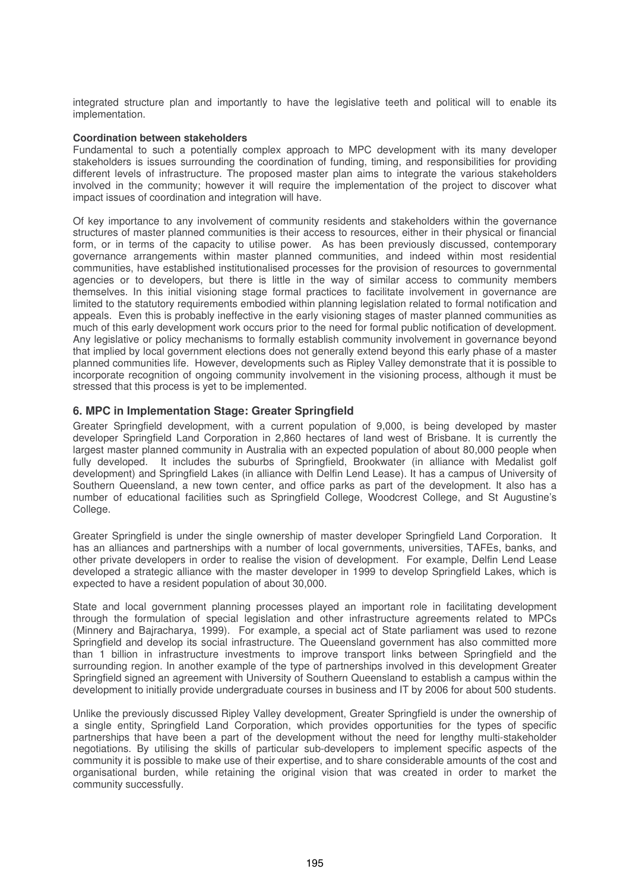integrated structure plan and importantly to have the legislative teeth and political will to enable its implementation.

### **Coordination between stakeholders**

Fundamental to such a potentially complex approach to MPC development with its many developer stakeholders is issues surrounding the coordination of funding, timing, and responsibilities for providing different levels of infrastructure. The proposed master plan aims to integrate the various stakeholders involved in the community; however it will require the implementation of the project to discover what impact issues of coordination and integration will have.

Of key importance to any involvement of community residents and stakeholders within the governance structures of master planned communities is their access to resources, either in their physical or financial form, or in terms of the capacity to utilise power. As has been previously discussed, contemporary governance arrangements within master planned communities, and indeed within most residential communities, have established institutionalised processes for the provision of resources to governmental agencies or to developers, but there is little in the way of similar access to community members themselves. In this initial visioning stage formal practices to facilitate involvement in governance are limited to the statutory requirements embodied within planning legislation related to formal notification and appeals. Even this is probably ineffective in the early visioning stages of master planned communities as much of this early development work occurs prior to the need for formal public notification of development. Any legislative or policy mechanisms to formally establish community involvement in governance beyond that implied by local government elections does not generally extend beyond this early phase of a master planned communities life. However, developments such as Ripley Valley demonstrate that it is possible to incorporate recognition of ongoing community involvement in the visioning process, although it must be stressed that this process is yet to be implemented.

# **6. MPC in Implementation Stage: Greater Springfield**

Greater Springfield development, with a current population of 9,000, is being developed by master developer Springfield Land Corporation in 2,860 hectares of land west of Brisbane. It is currently the largest master planned community in Australia with an expected population of about 80,000 people when fully developed. It includes the suburbs of Springfield, Brookwater (in alliance with Medalist golf development) and Springfield Lakes (in alliance with Delfin Lend Lease). It has a campus of University of Southern Queensland, a new town center, and office parks as part of the development. It also has a number of educational facilities such as Springfield College, Woodcrest College, and St Augustine's College.

Greater Springfield is under the single ownership of master developer Springfield Land Corporation. It has an alliances and partnerships with a number of local governments, universities, TAFEs, banks, and other private developers in order to realise the vision of development. For example, Delfin Lend Lease developed a strategic alliance with the master developer in 1999 to develop Springfield Lakes, which is expected to have a resident population of about 30,000.

State and local government planning processes played an important role in facilitating development through the formulation of special legislation and other infrastructure agreements related to MPCs (Minnery and Bajracharya, 1999). For example, a special act of State parliament was used to rezone Springfield and develop its social infrastructure. The Queensland government has also committed more than 1 billion in infrastructure investments to improve transport links between Springfield and the surrounding region. In another example of the type of partnerships involved in this development Greater Springfield signed an agreement with University of Southern Queensland to establish a campus within the development to initially provide undergraduate courses in business and IT by 2006 for about 500 students.

Unlike the previously discussed Ripley Valley development, Greater Springfield is under the ownership of a single entity, Springfield Land Corporation, which provides opportunities for the types of specific partnerships that have been a part of the development without the need for lengthy multi-stakeholder negotiations. By utilising the skills of particular sub-developers to implement specific aspects of the community it is possible to make use of their expertise, and to share considerable amounts of the cost and organisational burden, while retaining the original vision that was created in order to market the community successfully.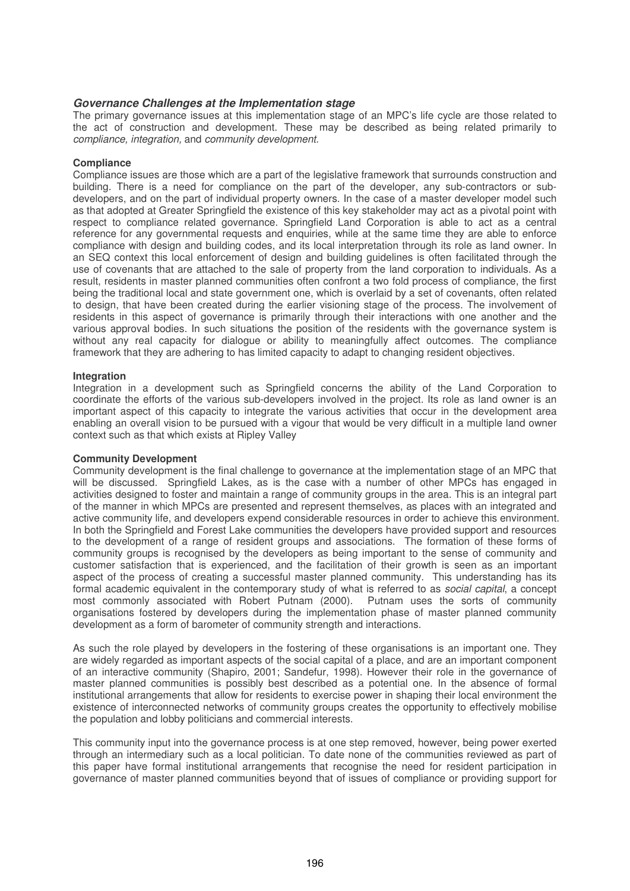### *Governance Challenges at the Implementation stage*

The primary governance issues at this implementation stage of an MPC's life cycle are those related to the act of construction and development. These may be described as being related primarily to compliance, integration, and community development.

#### **Compliance**

Compliance issues are those which are a part of the legislative framework that surrounds construction and building. There is a need for compliance on the part of the developer, any sub-contractors or subdevelopers, and on the part of individual property owners. In the case of a master developer model such as that adopted at Greater Springfield the existence of this key stakeholder may act as a pivotal point with respect to compliance related governance. Springfield Land Corporation is able to act as a central reference for any governmental requests and enquiries, while at the same time they are able to enforce compliance with design and building codes, and its local interpretation through its role as land owner. In an SEQ context this local enforcement of design and building guidelines is often facilitated through the use of covenants that are attached to the sale of property from the land corporation to individuals. As a result, residents in master planned communities often confront a two fold process of compliance, the first being the traditional local and state government one, which is overlaid by a set of covenants, often related to design, that have been created during the earlier visioning stage of the process. The involvement of residents in this aspect of governance is primarily through their interactions with one another and the various approval bodies. In such situations the position of the residents with the governance system is without any real capacity for dialogue or ability to meaningfully affect outcomes. The compliance framework that they are adhering to has limited capacity to adapt to changing resident objectives.

#### **Integration**

Integration in a development such as Springfield concerns the ability of the Land Corporation to coordinate the efforts of the various sub-developers involved in the project. Its role as land owner is an important aspect of this capacity to integrate the various activities that occur in the development area enabling an overall vision to be pursued with a vigour that would be very difficult in a multiple land owner context such as that which exists at Ripley Valley

### **Community Development**

Community development is the final challenge to governance at the implementation stage of an MPC that will be discussed. Springfield Lakes, as is the case with a number of other MPCs has engaged in activities designed to foster and maintain a range of community groups in the area. This is an integral part of the manner in which MPCs are presented and represent themselves, as places with an integrated and active community life, and developers expend considerable resources in order to achieve this environment. In both the Springfield and Forest Lake communities the developers have provided support and resources to the development of a range of resident groups and associations. The formation of these forms of community groups is recognised by the developers as being important to the sense of community and customer satisfaction that is experienced, and the facilitation of their growth is seen as an important aspect of the process of creating a successful master planned community. This understanding has its formal academic equivalent in the contemporary study of what is referred to as social capital, a concept most commonly associated with Robert Putnam (2000). Putnam uses the sorts of community organisations fostered by developers during the implementation phase of master planned community development as a form of barometer of community strength and interactions.

As such the role played by developers in the fostering of these organisations is an important one. They are widely regarded as important aspects of the social capital of a place, and are an important component of an interactive community (Shapiro, 2001; Sandefur, 1998). However their role in the governance of master planned communities is possibly best described as a potential one. In the absence of formal institutional arrangements that allow for residents to exercise power in shaping their local environment the existence of interconnected networks of community groups creates the opportunity to effectively mobilise the population and lobby politicians and commercial interests.

This community input into the governance process is at one step removed, however, being power exerted through an intermediary such as a local politician. To date none of the communities reviewed as part of this paper have formal institutional arrangements that recognise the need for resident participation in governance of master planned communities beyond that of issues of compliance or providing support for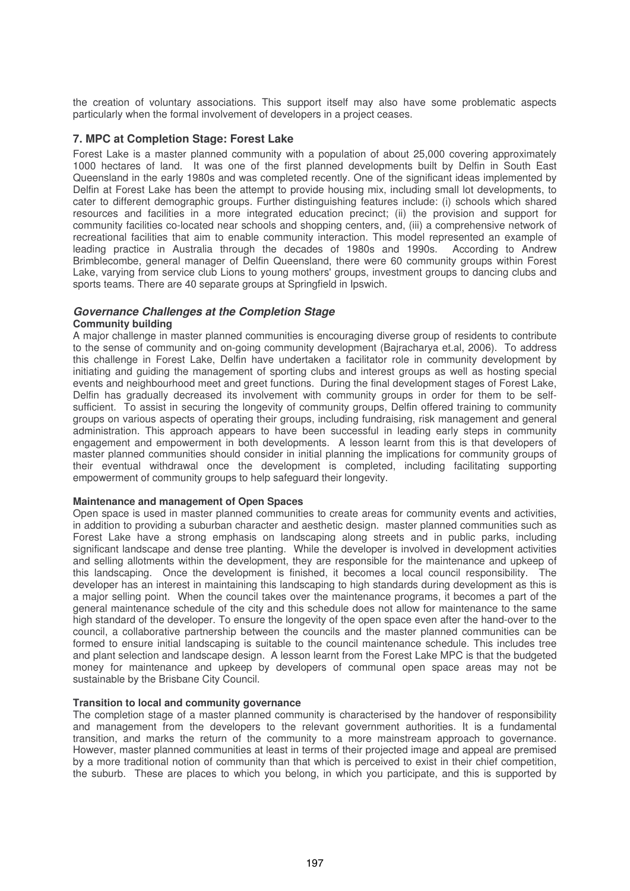the creation of voluntary associations. This support itself may also have some problematic aspects particularly when the formal involvement of developers in a project ceases.

### **7. MPC at Completion Stage: Forest Lake**

Forest Lake is a master planned community with a population of about 25,000 covering approximately 1000 hectares of land. It was one of the first planned developments built by Delfin in South East Queensland in the early 1980s and was completed recently. One of the significant ideas implemented by Delfin at Forest Lake has been the attempt to provide housing mix, including small lot developments, to cater to different demographic groups. Further distinguishing features include: (i) schools which shared resources and facilities in a more integrated education precinct; (ii) the provision and support for community facilities co-located near schools and shopping centers, and, (iii) a comprehensive network of recreational facilities that aim to enable community interaction. This model represented an example of leading practice in Australia through the decades of 1980s and 1990s. According to Andrew Brimblecombe, general manager of Delfin Queensland, there were 60 community groups within Forest Lake, varying from service club Lions to young mothers' groups, investment groups to dancing clubs and sports teams. There are 40 separate groups at Springfield in Ipswich.

### *Governance Challenges at the Completion Stage*

#### **Community building**

A major challenge in master planned communities is encouraging diverse group of residents to contribute to the sense of community and on-going community development (Bajracharya et.al, 2006). To address this challenge in Forest Lake, Delfin have undertaken a facilitator role in community development by initiating and guiding the management of sporting clubs and interest groups as well as hosting special events and neighbourhood meet and greet functions. During the final development stages of Forest Lake, Delfin has gradually decreased its involvement with community groups in order for them to be selfsufficient. To assist in securing the longevity of community groups, Delfin offered training to community groups on various aspects of operating their groups, including fundraising, risk management and general administration. This approach appears to have been successful in leading early steps in community engagement and empowerment in both developments. A lesson learnt from this is that developers of master planned communities should consider in initial planning the implications for community groups of their eventual withdrawal once the development is completed, including facilitating supporting empowerment of community groups to help safeguard their longevity.

### **Maintenance and management of Open Spaces**

Open space is used in master planned communities to create areas for community events and activities, in addition to providing a suburban character and aesthetic design. master planned communities such as Forest Lake have a strong emphasis on landscaping along streets and in public parks, including significant landscape and dense tree planting. While the developer is involved in development activities and selling allotments within the development, they are responsible for the maintenance and upkeep of this landscaping. Once the development is finished, it becomes a local council responsibility. The developer has an interest in maintaining this landscaping to high standards during development as this is a major selling point. When the council takes over the maintenance programs, it becomes a part of the general maintenance schedule of the city and this schedule does not allow for maintenance to the same high standard of the developer. To ensure the longevity of the open space even after the hand-over to the council, a collaborative partnership between the councils and the master planned communities can be formed to ensure initial landscaping is suitable to the council maintenance schedule. This includes tree and plant selection and landscape design. A lesson learnt from the Forest Lake MPC is that the budgeted money for maintenance and upkeep by developers of communal open space areas may not be sustainable by the Brisbane City Council.

### **Transition to local and community governance**

The completion stage of a master planned community is characterised by the handover of responsibility and management from the developers to the relevant government authorities. It is a fundamental transition, and marks the return of the community to a more mainstream approach to governance. However, master planned communities at least in terms of their projected image and appeal are premised by a more traditional notion of community than that which is perceived to exist in their chief competition, the suburb. These are places to which you belong, in which you participate, and this is supported by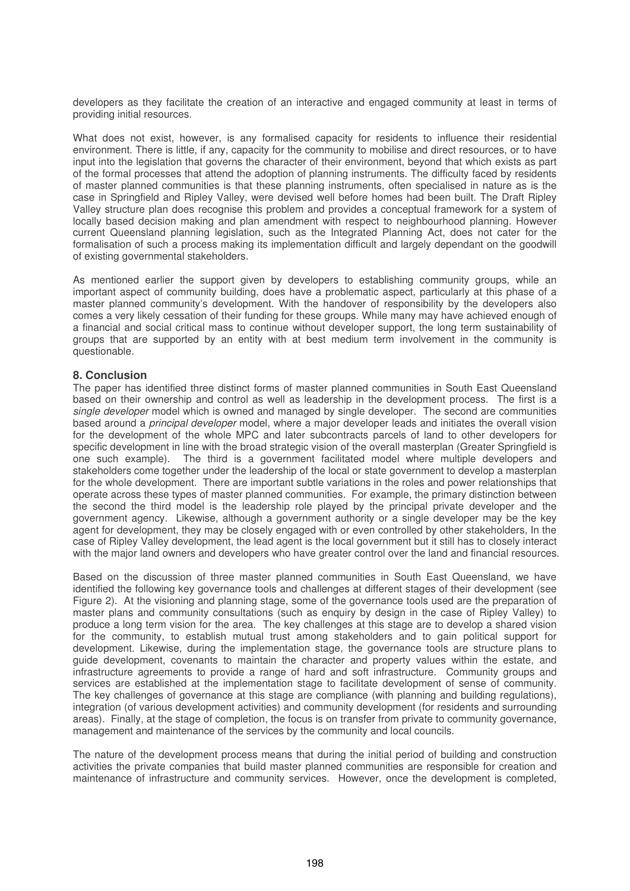developers as they facilitate the creation of an interactive and engaged community at least in terms of providing initial resources.

What does not exist, however, is any formalised capacity for residents to influence their residential environment. There is little, if any, capacity for the community to mobilise and direct resources, or to have input into the legislation that governs the character of their environment, beyond that which exists as part of the formal processes that attend the adoption of planning instruments. The difficulty faced by residents of master planned communities is that these planning instruments, often specialised in nature as is the case in Springfield and Ripley Valley, were devised well before homes had been built. The Draft Ripley Valley structure plan does recognise this problem and provides a conceptual framework for a system of locally based decision making and plan amendment with respect to neighbourhood planning. However current Queensland planning legislation, such as the Integrated Planning Act, does not cater for the formalisation of such a process making its implementation difficult and largely dependant on the goodwill of existing governmental stakeholders.

As mentioned earlier the support given by developers to establishing community groups, while an important aspect of community building, does have a problematic aspect, particularly at this phase of a master planned community's development. With the handover of responsibility by the developers also comes a very likely cessation of their funding for these groups. While many may have achieved enough of a financial and social critical mass to continue without developer support, the long term sustainability of groups that are supported by an entity with at best medium term involvement in the community is questionable.

# **8. Conclusion**

The paper has identified three distinct forms of master planned communities in South East Queensland based on their ownership and control as well as leadership in the development process. The first is a single developer model which is owned and managed by single developer. The second are communities based around a principal developer model, where a major developer leads and initiates the overall vision for the development of the whole MPC and later subcontracts parcels of land to other developers for specific development in line with the broad strategic vision of the overall masterplan (Greater Springfield is one such example). The third is a government facilitated model where multiple developers and stakeholders come together under the leadership of the local or state government to develop a masterplan for the whole development. There are important subtle variations in the roles and power relationships that operate across these types of master planned communities. For example, the primary distinction between the second the third model is the leadership role played by the principal private developer and the government agency. Likewise, although a government authority or a single developer may be the key agent for development, they may be closely engaged with or even controlled by other stakeholders, In the case of Ripley Valley development, the lead agent is the local government but it still has to closely interact with the major land owners and developers who have greater control over the land and financial resources.

Based on the discussion of three master planned communities in South East Queensland, we have identified the following key governance tools and challenges at different stages of their development (see Figure 2). At the visioning and planning stage, some of the governance tools used are the preparation of master plans and community consultations (such as enquiry by design in the case of Ripley Valley) to produce a long term vision for the area. The key challenges at this stage are to develop a shared vision for the community, to establish mutual trust among stakeholders and to gain political support for development. Likewise, during the implementation stage, the governance tools are structure plans to guide development, covenants to maintain the character and property values within the estate, and infrastructure agreements to provide a range of hard and soft infrastructure. Community groups and services are established at the implementation stage to facilitate development of sense of community. The key challenges of governance at this stage are compliance (with planning and building regulations), integration (of various development activities) and community development (for residents and surrounding areas). Finally, at the stage of completion, the focus is on transfer from private to community governance, management and maintenance of the services by the community and local councils.

The nature of the development process means that during the initial period of building and construction activities the private companies that build master planned communities are responsible for creation and maintenance of infrastructure and community services. However, once the development is completed,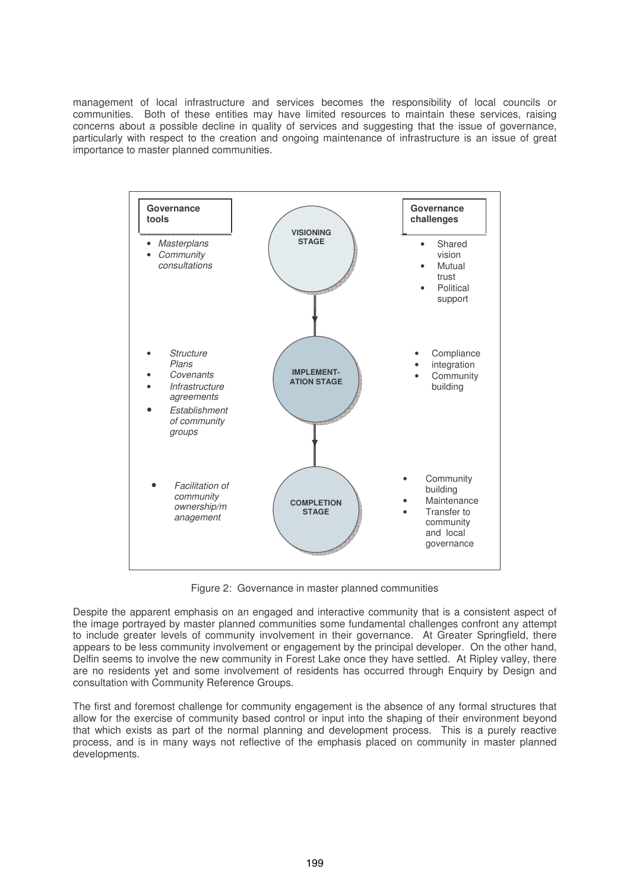management of local infrastructure and services becomes the responsibility of local councils or communities. Both of these entities may have limited resources to maintain these services, raising concerns about a possible decline in quality of services and suggesting that the issue of governance, particularly with respect to the creation and ongoing maintenance of infrastructure is an issue of great importance to master planned communities.



Figure 2: Governance in master planned communities

Despite the apparent emphasis on an engaged and interactive community that is a consistent aspect of the image portrayed by master planned communities some fundamental challenges confront any attempt to include greater levels of community involvement in their governance. At Greater Springfield, there appears to be less community involvement or engagement by the principal developer. On the other hand, Delfin seems to involve the new community in Forest Lake once they have settled. At Ripley valley, there are no residents yet and some involvement of residents has occurred through Enquiry by Design and consultation with Community Reference Groups.

The first and foremost challenge for community engagement is the absence of any formal structures that allow for the exercise of community based control or input into the shaping of their environment beyond that which exists as part of the normal planning and development process. This is a purely reactive process, and is in many ways not reflective of the emphasis placed on community in master planned developments.